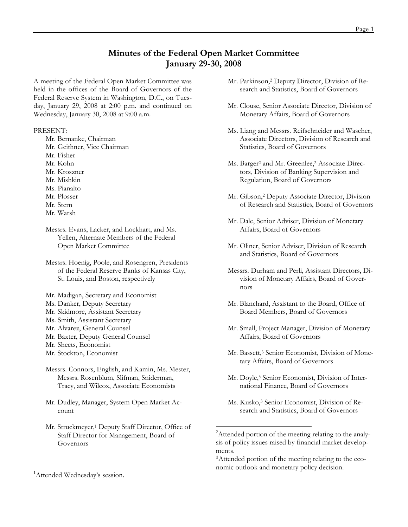## **Minutes of the Federal Open Market Committee January 29-30, 2008**

A meeting of the Federal Open Market Committee was held in the offices of the Board of Governors of the Federal Reserve System in Washington, D.C., on Tuesday, January 29, 2008 at 2:00 p.m. and continued on Wednesday, January 30, 2008 at 9:00 a.m.

#### PRESENT:

- Mr. Bernanke, Chairman
- Mr. Geithner, Vice Chairman

Mr. Fisher

Mr. Kohn

- Mr. Kroszner
- Mr. Mishkin
- Ms. Pianalto
- Mr. Plosser
- Mr. Stern
- Mr. Warsh
- Messrs. Evans, Lacker, and Lockhart, and Ms. Yellen, Alternate Members of the Federal Open Market Committee

Messrs. Hoenig, Poole, and Rosengren, Presidents of the Federal Reserve Banks of Kansas City, St. Louis, and Boston, respectively

- Mr. Madigan, Secretary and Economist
- Ms. Danker, Deputy Secretary
- Mr. Skidmore, Assistant Secretary
- Ms. Smith, Assistant Secretary
- Mr. Alvarez, General Counsel
- Mr. Baxter, Deputy General Counsel
- Mr. Sheets, Economist
- Mr. Stockton, Economist
- Messrs. Connors, English, and Kamin, Ms. Mester, Messrs. Rosenblum, Slifman, Sniderman, Tracy, and Wilcox, Associate Economists
- Mr. Dudley, Manager, System Open Market Account
- Mr. Struckmeyer,<sup>1</sup> Deputy Staff Director, Office of Staff Director for Management, Board of Governors

 $\overline{a}$ 

- Mr. Parkinson,2 Deputy Director, Division of Research and Statistics, Board of Governors
- Mr. Clouse, Senior Associate Director, Division of Monetary Affairs, Board of Governors
- Ms. Liang and Messrs. Reifschneider and Wascher, Associate Directors, Division of Research and Statistics, Board of Governors
- Ms. Barger<sup>2</sup> and Mr. Greenlee,<sup>2</sup> Associate Directors, Division of Banking Supervision and Regulation, Board of Governors
- Mr. Gibson,2 Deputy Associate Director, Division of Research and Statistics, Board of Governors
- Mr. Dale, Senior Adviser, Division of Monetary Affairs, Board of Governors
- Mr. Oliner, Senior Adviser, Division of Research and Statistics, Board of Governors
- Messrs. Durham and Perli, Assistant Directors, Division of Monetary Affairs, Board of Governors
- Mr. Blanchard, Assistant to the Board, Office of Board Members, Board of Governors
- Mr. Small, Project Manager, Division of Monetary Affairs, Board of Governors
- Mr. Bassett,<sup>3</sup> Senior Economist, Division of Monetary Affairs, Board of Governors
- Mr. Doyle,<sup>3</sup> Senior Economist, Division of International Finance, Board of Governors
- Ms. Kusko,3 Senior Economist, Division of Research and Statistics, Board of Governors

 $\overline{a}$ 

<sup>&</sup>lt;sup>1</sup>Attended Wednesday's session.

<sup>&</sup>lt;sup>2</sup>Attended portion of the meeting relating to the analysis of policy issues raised by financial market developments.

<sup>&</sup>lt;sup>3</sup>Attended portion of the meeting relating to the economic outlook and monetary policy decision.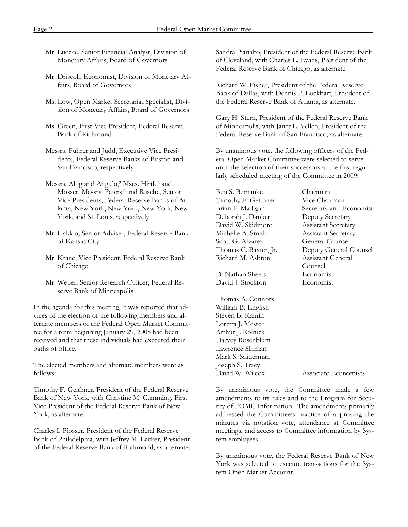- Mr. Luecke, Senior Financial Analyst, Division of Monetary Affairs, Board of Governors
- Mr. Driscoll, Economist, Division of Monetary Affairs, Board of Governors
- Ms. Low, Open Market Secretariat Specialist, Division of Monetary Affairs, Board of Governors
- Ms. Green, First Vice President, Federal Reserve Bank of Richmond
- Messrs. Fuhrer and Judd, Executive Vice Presidents, Federal Reserve Banks of Boston and San Francisco, respectively
- Messrs. Altig and Angulo,2 Mses. Hirtle2 and Mosser, Messrs. Peters 2 and Rasche, Senior Vice Presidents, Federal Reserve Banks of Atlanta, New York, New York, New York, New York, and St. Louis, respectively
- Mr. Hakkio, Senior Adviser, Federal Reserve Bank of Kansas City
- Mr. Krane, Vice President, Federal Reserve Bank of Chicago
- Mr. Weber, Senior Research Officer, Federal Reserve Bank of Minneapolis

In the agenda for this meeting, it was reported that advices of the election of the following members and alternate members of the Federal Open Market Committee for a term beginning January 29, 2008 had been received and that these individuals had executed their oaths of office.

The elected members and alternate members were as follows:

Timothy F. Geithner, President of the Federal Reserve Bank of New York, with Christine M. Cumming, First Vice President of the Federal Reserve Bank of New York, as alternate.

Charles I. Plosser, President of the Federal Reserve Bank of Philadelphia, with Jeffrey M. Lacker, President of the Federal Reserve Bank of Richmond, as alternate. Sandra Pianalto, President of the Federal Reserve Bank of Cleveland, with Charles L. Evans, President of the Federal Reserve Bank of Chicago, as alternate.

Richard W. Fisher, President of the Federal Reserve Bank of Dallas, with Dennis P. Lockhart, President of the Federal Reserve Bank of Atlanta, as alternate.

Gary H. Stern, President of the Federal Reserve Bank of Minneapolis, with Janet L. Yellen, President of the Federal Reserve Bank of San Francisco, as alternate.

By unanimous vote, the following officers of the Federal Open Market Committee were selected to serve until the selection of their successors at the first regularly scheduled meeting of the Committee in 2009:

Ben S. Bernanke Chairman Timothy F. Geithner Vice Chairman Deborah J. Danker Deputy Secretary Michelle A. Smith Assistant Secretary Scott G. Alvarez General Counsel Richard M. Ashton **Assistant General** 

D. Nathan Sheets Economist David J. Stockton Economist

Thomas A. Connors William B. English Steven B. Kamin Loretta J. Mester Arthur J. Rolnick Harvey Rosenblum Lawrence Slifman Mark S. Sniderman Joseph S. Tracy

Brian F. Madigan Secretary and Economist Assistant Secretary Thomas C. Baxter, Jr. Deputy General Counsel Counsel

Associate Economists

By unanimous vote, the Committee made a few amendments to its rules and to the Program for Security of FOMC Information. The amendments primarily addressed the Committee's practice of approving the minutes via notation vote, attendance at Committee meetings, and access to Committee information by System employees.

By unanimous vote, the Federal Reserve Bank of New York was selected to execute transactions for the System Open Market Account.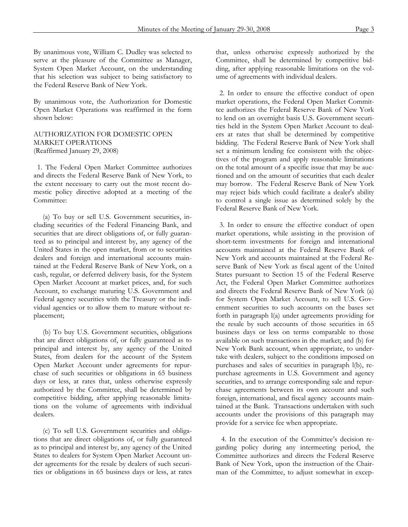By unanimous vote, William C. Dudley was selected to serve at the pleasure of the Committee as Manager, System Open Market Account, on the understanding that his selection was subject to being satisfactory to the Federal Reserve Bank of New York.

By unanimous vote, the Authorization for Domestic Open Market Operations was reaffirmed in the form shown below:

AUTHORIZATION FOR DOMESTIC OPEN MARKET OPERATIONS (Reaffirmed January 29, 2008)

 1. The Federal Open Market Committee authorizes and directs the Federal Reserve Bank of New York, to the extent necessary to carry out the most recent domestic policy directive adopted at a meeting of the Committee:

 (a) To buy or sell U.S. Government securities, including securities of the Federal Financing Bank, and securities that are direct obligations of, or fully guaranteed as to principal and interest by, any agency of the United States in the open market, from or to securities dealers and foreign and international accounts maintained at the Federal Reserve Bank of New York, on a cash, regular, or deferred delivery basis, for the System Open Market Account at market prices, and, for such Account, to exchange maturing U.S. Government and Federal agency securities with the Treasury or the individual agencies or to allow them to mature without replacement;

 (b) To buy U.S. Government securities, obligations that are direct obligations of, or fully guaranteed as to principal and interest by, any agency of the United States, from dealers for the account of the System Open Market Account under agreements for repurchase of such securities or obligations in 65 business days or less, at rates that, unless otherwise expressly authorized by the Committee, shall be determined by competitive bidding, after applying reasonable limitations on the volume of agreements with individual dealers.

 (c) To sell U.S. Government securities and obligations that are direct obligations of, or fully guaranteed as to principal and interest by, any agency of the United States to dealers for System Open Market Account under agreements for the resale by dealers of such securities or obligations in 65 business days or less, at rates that, unless otherwise expressly authorized by the Committee, shall be determined by competitive bidding, after applying reasonable limitations on the volume of agreements with individual dealers.

 2. In order to ensure the effective conduct of open market operations, the Federal Open Market Committee authorizes the Federal Reserve Bank of New York to lend on an overnight basis U.S. Government securities held in the System Open Market Account to dealers at rates that shall be determined by competitive bidding. The Federal Reserve Bank of New York shall set a minimum lending fee consistent with the objectives of the program and apply reasonable limitations on the total amount of a specific issue that may be auctioned and on the amount of securities that each dealer may borrow. The Federal Reserve Bank of New York may reject bids which could facilitate a dealer's ability to control a single issue as determined solely by the Federal Reserve Bank of New York.

 3. In order to ensure the effective conduct of open market operations, while assisting in the provision of short-term investments for foreign and international accounts maintained at the Federal Reserve Bank of New York and accounts maintained at the Federal Reserve Bank of New York as fiscal agent of the United States pursuant to Section 15 of the Federal Reserve Act, the Federal Open Market Committee authorizes and directs the Federal Reserve Bank of New York (a) for System Open Market Account, to sell U.S. Government securities to such accounts on the bases set forth in paragraph l(a) under agreements providing for the resale by such accounts of those securities in 65 business days or less on terms comparable to those available on such transactions in the market; and (b) for New York Bank account, when appropriate, to undertake with dealers, subject to the conditions imposed on purchases and sales of securities in paragraph l(b), repurchase agreements in U.S. Government and agency securities, and to arrange corresponding sale and repurchase agreements between its own account and such foreign, international, and fiscal agency accounts maintained at the Bank. Transactions undertaken with such accounts under the provisions of this paragraph may provide for a service fee when appropriate.

 4. In the execution of the Committee's decision regarding policy during any intermeeting period, the Committee authorizes and directs the Federal Reserve Bank of New York, upon the instruction of the Chairman of the Committee, to adjust somewhat in excep-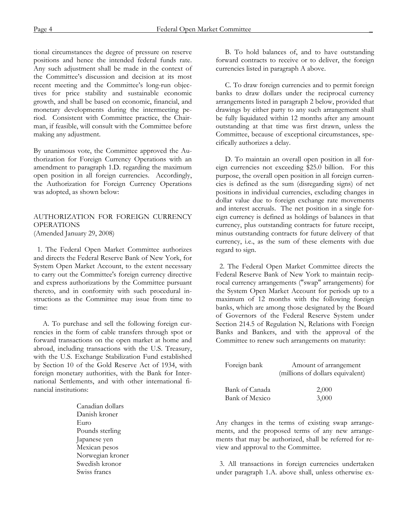tional circumstances the degree of pressure on reserve positions and hence the intended federal funds rate. Any such adjustment shall be made in the context of the Committee's discussion and decision at its most recent meeting and the Committee's long-run objectives for price stability and sustainable economic growth, and shall be based on economic, financial, and monetary developments during the intermeeting period. Consistent with Committee practice, the Chairman, if feasible, will consult with the Committee before making any adjustment.

By unanimous vote, the Committee approved the Authorization for Foreign Currency Operations with an amendment to paragraph 1.D. regarding the maximum open position in all foreign currencies. Accordingly, the Authorization for Foreign Currency Operations was adopted, as shown below:

## AUTHORIZATION FOR FOREIGN CURRENCY OPERATIONS

(Amended January 29, 2008)

 1. The Federal Open Market Committee authorizes and directs the Federal Reserve Bank of New York, for System Open Market Account, to the extent necessary to carry out the Committee's foreign currency directive and express authorizations by the Committee pursuant thereto, and in conformity with such procedural instructions as the Committee may issue from time to time:

 A. To purchase and sell the following foreign currencies in the form of cable transfers through spot or forward transactions on the open market at home and abroad, including transactions with the U.S. Treasury, with the U.S. Exchange Stabilization Fund established by Section 10 of the Gold Reserve Act of 1934, with foreign monetary authorities, with the Bank for International Settlements, and with other international financial institutions:

> Canadian dollars Danish kroner Euro Pounds sterling Japanese yen Mexican pesos Norwegian kroner Swedish kronor Swiss francs

 B. To hold balances of, and to have outstanding forward contracts to receive or to deliver, the foreign currencies listed in paragraph A above.

 C. To draw foreign currencies and to permit foreign banks to draw dollars under the reciprocal currency arrangements listed in paragraph 2 below, provided that drawings by either party to any such arrangement shall be fully liquidated within 12 months after any amount outstanding at that time was first drawn, unless the Committee, because of exceptional circumstances, specifically authorizes a delay.

 D. To maintain an overall open position in all foreign currencies not exceeding \$25.0 billion. For this purpose, the overall open position in all foreign currencies is defined as the sum (disregarding signs) of net positions in individual currencies, excluding changes in dollar value due to foreign exchange rate movements and interest accruals. The net position in a single foreign currency is defined as holdings of balances in that currency, plus outstanding contracts for future receipt, minus outstanding contracts for future delivery of that currency, i.e., as the sum of these elements with due regard to sign.

 2. The Federal Open Market Committee directs the Federal Reserve Bank of New York to maintain reciprocal currency arrangements ("swap" arrangements) for the System Open Market Account for periods up to a maximum of 12 months with the following foreign banks, which are among those designated by the Board of Governors of the Federal Reserve System under Section 214.5 of Regulation N, Relations with Foreign Banks and Bankers, and with the approval of the Committee to renew such arrangements on maturity:

| Foreign bank          | Amount of arrangement<br>(millions of dollars equivalent) |  |
|-----------------------|-----------------------------------------------------------|--|
| Bank of Canada        | 2,000                                                     |  |
| <b>Bank of Mexico</b> | 3,000                                                     |  |

Any changes in the terms of existing swap arrangements, and the proposed terms of any new arrangements that may be authorized, shall be referred for review and approval to the Committee.

 3. All transactions in foreign currencies undertaken under paragraph 1.A. above shall, unless otherwise ex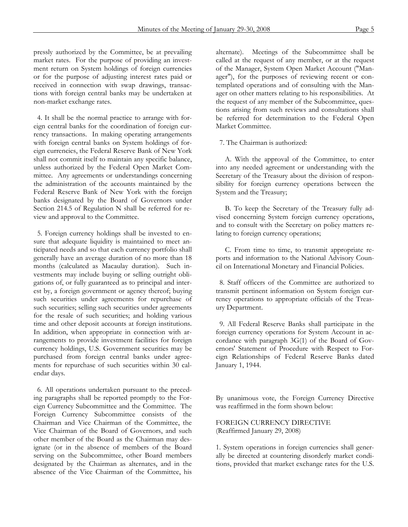pressly authorized by the Committee, be at prevailing market rates. For the purpose of providing an investment return on System holdings of foreign currencies or for the purpose of adjusting interest rates paid or received in connection with swap drawings, transactions with foreign central banks may be undertaken at non-market exchange rates.

 4. It shall be the normal practice to arrange with foreign central banks for the coordination of foreign currency transactions. In making operating arrangements with foreign central banks on System holdings of foreign currencies, the Federal Reserve Bank of New York shall not commit itself to maintain any specific balance, unless authorized by the Federal Open Market Committee. Any agreements or understandings concerning the administration of the accounts maintained by the Federal Reserve Bank of New York with the foreign banks designated by the Board of Governors under Section 214.5 of Regulation N shall be referred for review and approval to the Committee.

 5. Foreign currency holdings shall be invested to ensure that adequate liquidity is maintained to meet anticipated needs and so that each currency portfolio shall generally have an average duration of no more than 18 months (calculated as Macaulay duration). Such investments may include buying or selling outright obligations of, or fully guaranteed as to principal and interest by, a foreign government or agency thereof; buying such securities under agreements for repurchase of such securities; selling such securities under agreements for the resale of such securities; and holding various time and other deposit accounts at foreign institutions. In addition, when appropriate in connection with arrangements to provide investment facilities for foreign currency holdings, U.S. Government securities may be purchased from foreign central banks under agreements for repurchase of such securities within 30 calendar days.

 6. All operations undertaken pursuant to the preceding paragraphs shall be reported promptly to the Foreign Currency Subcommittee and the Committee. The Foreign Currency Subcommittee consists of the Chairman and Vice Chairman of the Committee, the Vice Chairman of the Board of Governors, and such other member of the Board as the Chairman may designate (or in the absence of members of the Board serving on the Subcommittee, other Board members designated by the Chairman as alternates, and in the absence of the Vice Chairman of the Committee, his alternate). Meetings of the Subcommittee shall be called at the request of any member, or at the request of the Manager, System Open Market Account ("Manager"), for the purposes of reviewing recent or contemplated operations and of consulting with the Manager on other matters relating to his responsibilities. At the request of any member of the Subcommittee, questions arising from such reviews and consultations shall be referred for determination to the Federal Open Market Committee.

#### 7. The Chairman is authorized:

 A. With the approval of the Committee, to enter into any needed agreement or understanding with the Secretary of the Treasury about the division of responsibility for foreign currency operations between the System and the Treasury;

 B. To keep the Secretary of the Treasury fully advised concerning System foreign currency operations, and to consult with the Secretary on policy matters relating to foreign currency operations;

 C. From time to time, to transmit appropriate reports and information to the National Advisory Council on International Monetary and Financial Policies.

 8. Staff officers of the Committee are authorized to transmit pertinent information on System foreign currency operations to appropriate officials of the Treasury Department.

 9. All Federal Reserve Banks shall participate in the foreign currency operations for System Account in accordance with paragraph 3G(1) of the Board of Governors' Statement of Procedure with Respect to Foreign Relationships of Federal Reserve Banks dated January 1, 1944.

By unanimous vote, the Foreign Currency Directive was reaffirmed in the form shown below:

FOREIGN CURRENCY DIRECTIVE (Reaffirmed January 29, 2008)

1. System operations in foreign currencies shall generally be directed at countering disorderly market conditions, provided that market exchange rates for the U.S.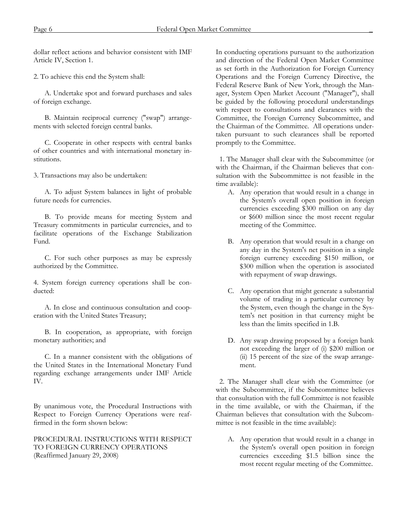dollar reflect actions and behavior consistent with IMF Article IV, Section 1.

2. To achieve this end the System shall:

 A. Undertake spot and forward purchases and sales of foreign exchange.

 B. Maintain reciprocal currency ("swap") arrangements with selected foreign central banks.

 C. Cooperate in other respects with central banks of other countries and with international monetary institutions.

3. Transactions may also be undertaken:

 A. To adjust System balances in light of probable future needs for currencies.

 B. To provide means for meeting System and Treasury commitments in particular currencies, and to facilitate operations of the Exchange Stabilization Fund.

 C. For such other purposes as may be expressly authorized by the Committee.

4. System foreign currency operations shall be conducted:

 A. In close and continuous consultation and cooperation with the United States Treasury;

 B. In cooperation, as appropriate, with foreign monetary authorities; and

 C. In a manner consistent with the obligations of the United States in the International Monetary Fund regarding exchange arrangements under IMF Article IV.

By unanimous vote, the Procedural Instructions with Respect to Foreign Currency Operations were reaffirmed in the form shown below:

PROCEDURAL INSTRUCTIONS WITH RESPECT TO FOREIGN CURRENCY OPERATIONS (Reaffirmed January 29, 2008)

In conducting operations pursuant to the authorization and direction of the Federal Open Market Committee as set forth in the Authorization for Foreign Currency Operations and the Foreign Currency Directive, the Federal Reserve Bank of New York, through the Manager, System Open Market Account ("Manager"), shall be guided by the following procedural understandings with respect to consultations and clearances with the Committee, the Foreign Currency Subcommittee, and the Chairman of the Committee. All operations undertaken pursuant to such clearances shall be reported promptly to the Committee.

 1. The Manager shall clear with the Subcommittee (or with the Chairman, if the Chairman believes that consultation with the Subcommittee is not feasible in the time available):

- A. Any operation that would result in a change in the System's overall open position in foreign currencies exceeding \$300 million on any day or \$600 million since the most recent regular meeting of the Committee.
- B. Any operation that would result in a change on any day in the System's net position in a single foreign currency exceeding \$150 million, or \$300 million when the operation is associated with repayment of swap drawings.
- C. Any operation that might generate a substantial volume of trading in a particular currency by the System, even though the change in the System's net position in that currency might be less than the limits specified in 1.B.
- D. Any swap drawing proposed by a foreign bank not exceeding the larger of (i) \$200 million or (ii) 15 percent of the size of the swap arrangement.

 2. The Manager shall clear with the Committee (or with the Subcommittee, if the Subcommittee believes that consultation with the full Committee is not feasible in the time available, or with the Chairman, if the Chairman believes that consultation with the Subcommittee is not feasible in the time available):

A. Any operation that would result in a change in the System's overall open position in foreign currencies exceeding \$1.5 billion since the most recent regular meeting of the Committee.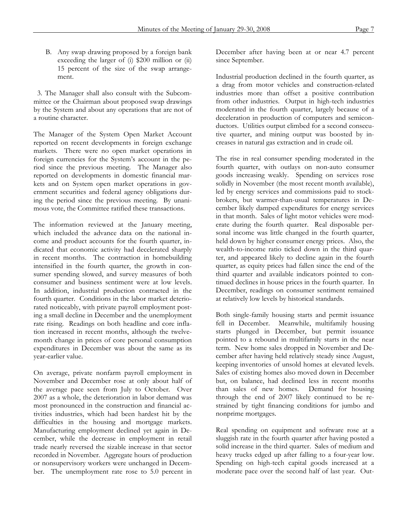B. Any swap drawing proposed by a foreign bank exceeding the larger of (i) \$200 million or (ii) 15 percent of the size of the swap arrangement.

 3. The Manager shall also consult with the Subcommittee or the Chairman about proposed swap drawings by the System and about any operations that are not of a routine character.

The Manager of the System Open Market Account reported on recent developments in foreign exchange markets. There were no open market operations in foreign currencies for the System's account in the period since the previous meeting. The Manager also reported on developments in domestic financial markets and on System open market operations in government securities and federal agency obligations during the period since the previous meeting. By unanimous vote, the Committee ratified these transactions.

The information reviewed at the January meeting, which included the advance data on the national income and product accounts for the fourth quarter, indicated that economic activity had decelerated sharply in recent months. The contraction in homebuilding intensified in the fourth quarter, the growth in consumer spending slowed, and survey measures of both consumer and business sentiment were at low levels. In addition, industrial production contracted in the fourth quarter. Conditions in the labor market deteriorated noticeably, with private payroll employment posting a small decline in December and the unemployment rate rising. Readings on both headline and core inflation increased in recent months, although the twelvemonth change in prices of core personal consumption expenditures in December was about the same as its year-earlier value.

On average, private nonfarm payroll employment in November and December rose at only about half of the average pace seen from July to October. Over 2007 as a whole, the deterioration in labor demand was most pronounced in the construction and financial activities industries, which had been hardest hit by the difficulties in the housing and mortgage markets. Manufacturing employment declined yet again in December, while the decrease in employment in retail trade nearly reversed the sizable increase in that sector recorded in November. Aggregate hours of production or nonsupervisory workers were unchanged in December. The unemployment rate rose to 5.0 percent in December after having been at or near 4.7 percent since September.

Industrial production declined in the fourth quarter, as a drag from motor vehicles and construction-related industries more than offset a positive contribution from other industries. Output in high-tech industries moderated in the fourth quarter, largely because of a deceleration in production of computers and semiconductors. Utilities output climbed for a second consecutive quarter, and mining output was boosted by increases in natural gas extraction and in crude oil.

The rise in real consumer spending moderated in the fourth quarter, with outlays on non-auto consumer goods increasing weakly. Spending on services rose solidly in November (the most recent month available), led by energy services and commissions paid to stockbrokers, but warmer-than-usual temperatures in December likely damped expenditures for energy services in that month. Sales of light motor vehicles were moderate during the fourth quarter. Real disposable personal income was little changed in the fourth quarter, held down by higher consumer energy prices. Also, the wealth-to-income ratio ticked down in the third quarter, and appeared likely to decline again in the fourth quarter, as equity prices had fallen since the end of the third quarter and available indicators pointed to continued declines in house prices in the fourth quarter. In December, readings on consumer sentiment remained at relatively low levels by historical standards.

Both single-family housing starts and permit issuance fell in December. Meanwhile, multifamily housing starts plunged in December, but permit issuance pointed to a rebound in multifamily starts in the near term. New home sales dropped in November and December after having held relatively steady since August, keeping inventories of unsold homes at elevated levels. Sales of existing homes also moved down in December but, on balance, had declined less in recent months than sales of new homes. Demand for housing through the end of 2007 likely continued to be restrained by tight financing conditions for jumbo and nonprime mortgages.

Real spending on equipment and software rose at a sluggish rate in the fourth quarter after having posted a solid increase in the third quarter. Sales of medium and heavy trucks edged up after falling to a four-year low. Spending on high-tech capital goods increased at a moderate pace over the second half of last year. Out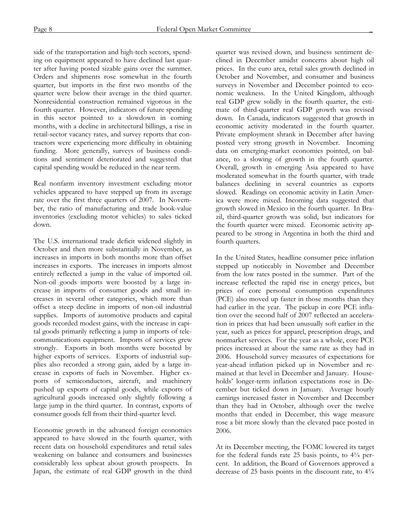side of the transportation and high-tech sectors, spending on equipment appeared to have declined last quarter after having posted sizable gains over the summer. Orders and shipments rose somewhat in the fourth quarter, but imports in the first two months of the quarter were below their average in the third quarter. Nonresidential construction remained vigorous in the fourth quarter. However, indicators of future spending in this sector pointed to a slowdown in coming months, with a decline in architectural billings, a rise in retail-sector vacancy rates, and survey reports that contractors were experiencing more difficulty in obtaining funding. More generally, surveys of business conditions and sentiment deteriorated and suggested that capital spending would be reduced in the near term.

Real nonfarm inventory investment excluding motor vehicles appeared to have stepped up from its average rate over the first three quarters of 2007. In November, the ratio of manufacturing and trade book-value inventories (excluding motor vehicles) to sales ticked down.

The U.S. international trade deficit widened slightly in October and then more substantially in November, as increases in imports in both months more than offset increases in exports. The increases in imports almost entirely reflected a jump in the value of imported oil. Non-oil goods imports were boosted by a large increase in imports of consumer goods and small increases in several other categories, which more than offset a steep decline in imports of non-oil industrial supplies. Imports of automotive products and capital goods recorded modest gains, with the increase in capital goods primarily reflecting a jump in imports of telecommunications equipment. Imports of services grew strongly. Exports in both months were boosted by higher exports of services. Exports of industrial supplies also recorded a strong gain, aided by a large increase in exports of fuels in November. Higher exports of semiconductors, aircraft, and machinery pushed up exports of capital goods, while exports of agricultural goods increased only slightly following a large jump in the third quarter. In contrast, exports of consumer goods fell from their third-quarter level.

Economic growth in the advanced foreign economies appeared to have slowed in the fourth quarter, with recent data on household expenditures and retail sales weakening on balance and consumers and businesses considerably less upbeat about growth prospects. In Japan, the estimate of real GDP growth in the third

quarter was revised down, and business sentiment declined in December amidst concerns about high oil prices. In the euro area, retail sales growth declined in October and November, and consumer and business surveys in November and December pointed to economic weakness. In the United Kingdom, although real GDP grew solidly in the fourth quarter, the estimate of third-quarter real GDP growth was revised down. In Canada, indicators suggested that growth in economic activity moderated in the fourth quarter. Private employment shrank in December after having posted very strong growth in November. Incoming data on emerging-market economies pointed, on balance, to a slowing of growth in the fourth quarter. Overall, growth in emerging Asia appeared to have moderated somewhat in the fourth quarter, with trade balances declining in several countries as exports slowed. Readings on economic activity in Latin America were more mixed. Incoming data suggested that growth slowed in Mexico in the fourth quarter. In Brazil, third-quarter growth was solid, but indicators for the fourth quarter were mixed. Economic activity appeared to be strong in Argentina in both the third and fourth quarters.

In the United States, headline consumer price inflation stepped up noticeably in November and December from the low rates posted in the summer. Part of the increase reflected the rapid rise in energy prices, but prices of core personal consumption expenditures (PCE) also moved up faster in those months than they had earlier in the year. The pickup in core PCE inflation over the second half of 2007 reflected an acceleration in prices that had been unusually soft earlier in the year, such as prices for apparel, prescription drugs, and nonmarket services. For the year as a whole, core PCE prices increased at about the same rate as they had in 2006. Household survey measures of expectations for year-ahead inflation picked up in November and remained at that level in December and January. Households' longer-term inflation expectations rose in December but ticked down in January. Average hourly earnings increased faster in November and December than they had in October, although over the twelve months that ended in December, this wage measure rose a bit more slowly than the elevated pace posted in 2006.

At its December meeting, the FOMC lowered its target for the federal funds rate 25 basis points, to  $4\frac{1}{4}$  percent. In addition, the Board of Governors approved a decrease of 25 basis points in the discount rate, to  $4\frac{3}{4}$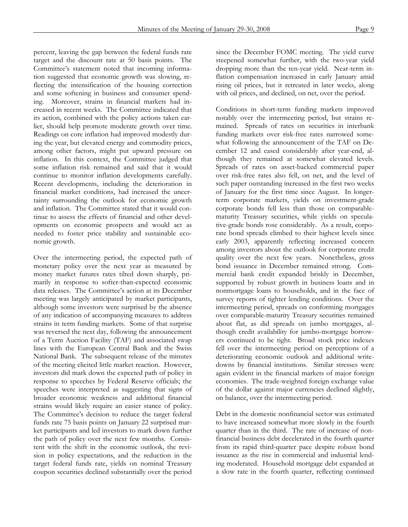percent, leaving the gap between the federal funds rate target and the discount rate at 50 basis points. The Committee's statement noted that incoming information suggested that economic growth was slowing, reflecting the intensification of the housing correction and some softening in business and consumer spending. Moreover, strains in financial markets had increased in recent weeks. The Committee indicated that its action, combined with the policy actions taken earlier, should help promote moderate growth over time. Readings on core inflation had improved modestly during the year, but elevated energy and commodity prices, among other factors, might put upward pressure on inflation. In this context, the Committee judged that some inflation risk remained and said that it would continue to monitor inflation developments carefully. Recent developments, including the deterioration in financial market conditions, had increased the uncertainty surrounding the outlook for economic growth and inflation. The Committee stated that it would continue to assess the effects of financial and other developments on economic prospects and would act as needed to foster price stability and sustainable economic growth.

Over the intermeeting period, the expected path of monetary policy over the next year as measured by money market futures rates tilted down sharply, primarily in response to softer-than-expected economic data releases. The Committee's action at its December meeting was largely anticipated by market participants, although some investors were surprised by the absence of any indication of accompanying measures to address strains in term funding markets. Some of that surprise was reversed the next day, following the announcement of a Term Auction Facility (TAF) and associated swap lines with the European Central Bank and the Swiss National Bank. The subsequent release of the minutes of the meeting elicited little market reaction. However, investors did mark down the expected path of policy in response to speeches by Federal Reserve officials; the speeches were interpreted as suggesting that signs of broader economic weakness and additional financial strains would likely require an easier stance of policy. The Committee's decision to reduce the target federal funds rate 75 basis points on January 22 surprised market participants and led investors to mark down further the path of policy over the next few months. Consistent with the shift in the economic outlook, the revision in policy expectations, and the reduction in the target federal funds rate, yields on nominal Treasury coupon securities declined substantially over the period

since the December FOMC meeting. The yield curve steepened somewhat further, with the two-year yield dropping more than the ten-year yield. Near-term inflation compensation increased in early January amid rising oil prices, but it retreated in later weeks, along with oil prices, and declined, on net, over the period.

Conditions in short-term funding markets improved notably over the intermeeting period, but strains remained. Spreads of rates on securities in interbank funding markets over risk-free rates narrowed somewhat following the announcement of the TAF on December 12 and eased considerably after year-end, although they remained at somewhat elevated levels. Spreads of rates on asset-backed commercial paper over risk-free rates also fell, on net, and the level of such paper outstanding increased in the first two weeks of January for the first time since August. In longerterm corporate markets, yields on investment-grade corporate bonds fell less than those on comparablematurity Treasury securities, while yields on speculative-grade bonds rose considerably. As a result, corporate bond spreads climbed to their highest levels since early 2003, apparently reflecting increased concern among investors about the outlook for corporate credit quality over the next few years. Nonetheless, gross bond issuance in December remained strong. Commercial bank credit expanded briskly in December, supported by robust growth in business loans and in nonmortgage loans to households, and in the face of survey reports of tighter lending conditions. Over the intermeeting period, spreads on conforming mortgages over comparable-maturity Treasury securities remained about flat, as did spreads on jumbo mortgages, although credit availability for jumbo-mortgage borrowers continued to be tight. Broad stock price indexes fell over the intermeeting period on perceptions of a deteriorating economic outlook and additional writedowns by financial institutions. Similar stresses were again evident in the financial markets of major foreign economies. The trade-weighted foreign exchange value of the dollar against major currencies declined slightly, on balance, over the intermeeting period.

Debt in the domestic nonfinancial sector was estimated to have increased somewhat more slowly in the fourth quarter than in the third. The rate of increase of nonfinancial business debt decelerated in the fourth quarter from its rapid third-quarter pace despite robust bond issuance as the rise in commercial and industrial lending moderated. Household mortgage debt expanded at a slow rate in the fourth quarter, reflecting continued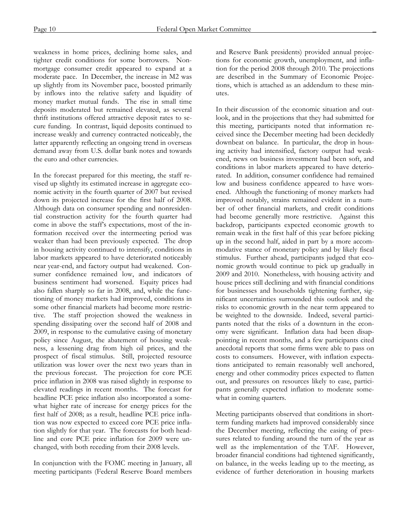weakness in home prices, declining home sales, and tighter credit conditions for some borrowers. Nonmortgage consumer credit appeared to expand at a moderate pace. In December, the increase in M2 was up slightly from its November pace, boosted primarily by inflows into the relative safety and liquidity of money market mutual funds. The rise in small time deposits moderated but remained elevated, as several thrift institutions offered attractive deposit rates to secure funding. In contrast, liquid deposits continued to increase weakly and currency contracted noticeably, the latter apparently reflecting an ongoing trend in overseas demand away from U.S. dollar bank notes and towards the euro and other currencies.

In the forecast prepared for this meeting, the staff revised up slightly its estimated increase in aggregate economic activity in the fourth quarter of 2007 but revised down its projected increase for the first half of 2008. Although data on consumer spending and nonresidential construction activity for the fourth quarter had come in above the staff's expectations, most of the information received over the intermeeting period was weaker than had been previously expected. The drop in housing activity continued to intensify, conditions in labor markets appeared to have deteriorated noticeably near year-end, and factory output had weakened. Consumer confidence remained low, and indicators of business sentiment had worsened. Equity prices had also fallen sharply so far in 2008, and, while the functioning of money markets had improved, conditions in some other financial markets had become more restrictive. The staff projection showed the weakness in spending dissipating over the second half of 2008 and 2009, in response to the cumulative easing of monetary policy since August, the abatement of housing weakness, a lessening drag from high oil prices, and the prospect of fiscal stimulus. Still, projected resource utilization was lower over the next two years than in the previous forecast. The projection for core PCE price inflation in 2008 was raised slightly in response to elevated readings in recent months. The forecast for headline PCE price inflation also incorporated a somewhat higher rate of increase for energy prices for the first half of 2008; as a result, headline PCE price inflation was now expected to exceed core PCE price inflation slightly for that year. The forecasts for both headline and core PCE price inflation for 2009 were unchanged, with both receding from their 2008 levels.

In conjunction with the FOMC meeting in January, all meeting participants (Federal Reserve Board members and Reserve Bank presidents) provided annual projections for economic growth, unemployment, and inflation for the period 2008 through 2010. The projections are described in the Summary of Economic Projections, which is attached as an addendum to these minutes.

In their discussion of the economic situation and outlook, and in the projections that they had submitted for this meeting, participants noted that information received since the December meeting had been decidedly downbeat on balance. In particular, the drop in housing activity had intensified, factory output had weakened, news on business investment had been soft, and conditions in labor markets appeared to have deteriorated. In addition, consumer confidence had remained low and business confidence appeared to have worsened. Although the functioning of money markets had improved notably, strains remained evident in a number of other financial markets, and credit conditions had become generally more restrictive. Against this backdrop, participants expected economic growth to remain weak in the first half of this year before picking up in the second half, aided in part by a more accommodative stance of monetary policy and by likely fiscal stimulus. Further ahead, participants judged that economic growth would continue to pick up gradually in 2009 and 2010. Nonetheless, with housing activity and house prices still declining and with financial conditions for businesses and households tightening further, significant uncertainties surrounded this outlook and the risks to economic growth in the near term appeared to be weighted to the downside. Indeed, several participants noted that the risks of a downturn in the economy were significant. Inflation data had been disappointing in recent months, and a few participants cited anecdotal reports that some firms were able to pass on costs to consumers. However, with inflation expectations anticipated to remain reasonably well anchored, energy and other commodity prices expected to flatten out, and pressures on resources likely to ease, participants generally expected inflation to moderate somewhat in coming quarters.

Meeting participants observed that conditions in shortterm funding markets had improved considerably since the December meeting, reflecting the easing of pressures related to funding around the turn of the year as well as the implementation of the TAF. However, broader financial conditions had tightened significantly, on balance, in the weeks leading up to the meeting, as evidence of further deterioration in housing markets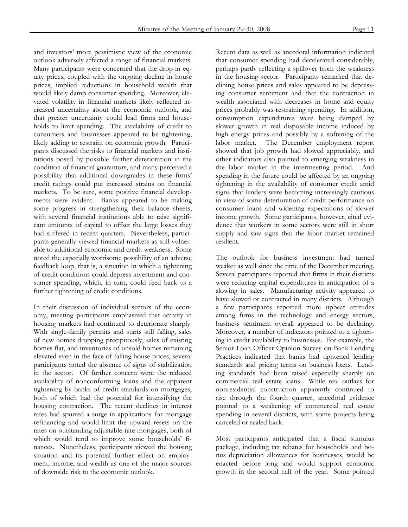and investors' more pessimistic view of the economic outlook adversely affected a range of financial markets. Many participants were concerned that the drop in equity prices, coupled with the ongoing decline in house prices, implied reductions in household wealth that would likely damp consumer spending. Moreover, elevated volatility in financial markets likely reflected increased uncertainty about the economic outlook, and that greater uncertainty could lead firms and households to limit spending. The availability of credit to consumers and businesses appeared to be tightening, likely adding to restraint on economic growth. Participants discussed the risks to financial markets and institutions posed by possible further deterioration in the condition of financial guarantors, and many perceived a possibility that additional downgrades in these firms' credit ratings could put increased strains on financial markets. To be sure, some positive financial developments were evident. Banks appeared to be making some progress in strengthening their balance sheets, with several financial institutions able to raise significant amounts of capital to offset the large losses they had suffered in recent quarters. Nevertheless, participants generally viewed financial markets as still vulnerable to additional economic and credit weakness. Some noted the especially worrisome possibility of an adverse feedback loop, that is, a situation in which a tightening of credit conditions could depress investment and consumer spending, which, in turn, could feed back to a further tightening of credit conditions.

In their discussion of individual sectors of the economy, meeting participants emphasized that activity in housing markets had continued to deteriorate sharply. With single-family permits and starts still falling, sales of new homes dropping precipitously, sales of existing homes flat, and inventories of unsold homes remaining elevated even in the face of falling house prices, several participants noted the absence of signs of stabilization in the sector. Of further concern were the reduced availability of nonconforming loans and the apparent tightening by banks of credit standards on mortgages, both of which had the potential for intensifying the housing contraction. The recent declines in interest rates had spurred a surge in applications for mortgage refinancing and would limit the upward resets on the rates on outstanding adjustable-rate mortgages, both of which would tend to improve some households' finances. Nonetheless, participants viewed the housing situation and its potential further effect on employment, income, and wealth as one of the major sources of downside risk to the economic outlook.

Recent data as well as anecdotal information indicated that consumer spending had decelerated considerably, perhaps partly reflecting a spillover from the weakness in the housing sector. Participants remarked that declining house prices and sales appeared to be depressing consumer sentiment and that the contraction in wealth associated with decreases in home and equity prices probably was restraining spending. In addition, consumption expenditures were being damped by slower growth in real disposable income induced by high energy prices and possibly by a softening of the labor market. The December employment report showed that job growth had slowed appreciably, and other indicators also pointed to emerging weakness in the labor market in the intermeeting period. And spending in the future could be affected by an ongoing tightening in the availability of consumer credit amid signs that lenders were becoming increasingly cautious in view of some deterioration of credit performance on consumer loans and widening expectations of slower income growth. Some participants, however, cited evidence that workers in some sectors were still in short supply and saw signs that the labor market remained resilient.

The outlook for business investment had turned weaker as well since the time of the December meeting. Several participants reported that firms in their districts were reducing capital expenditures in anticipation of a slowing in sales. Manufacturing activity appeared to have slowed or contracted in many districts. Although a few participants reported more upbeat attitudes among firms in the technology and energy sectors, business sentiment overall appeared to be declining. Moreover, a number of indicators pointed to a tightening in credit availability to businesses. For example, the Senior Loan Officer Opinion Survey on Bank Lending Practices indicated that banks had tightened lending standards and pricing terms on business loans. Lending standards had been raised especially sharply on commercial real estate loans. While real outlays for nonresidential construction apparently continued to rise through the fourth quarter, anecdotal evidence pointed to a weakening of commercial real estate spending in several districts, with some projects being canceled or scaled back.

Most participants anticipated that a fiscal stimulus package, including tax rebates for households and bonus depreciation allowances for businesses, would be enacted before long and would support economic growth in the second half of the year. Some pointed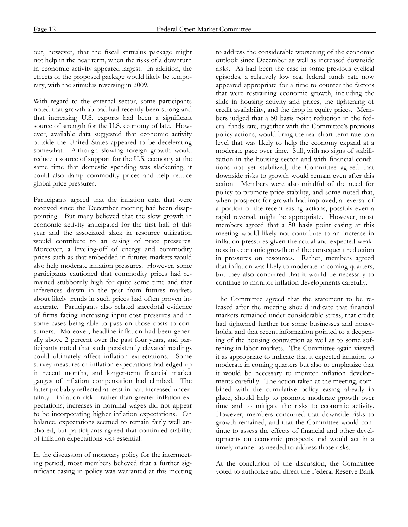out, however, that the fiscal stimulus package might not help in the near term, when the risks of a downturn in economic activity appeared largest. In addition, the effects of the proposed package would likely be temporary, with the stimulus reversing in 2009.

With regard to the external sector, some participants noted that growth abroad had recently been strong and that increasing U.S. exports had been a significant source of strength for the U.S. economy of late. However, available data suggested that economic activity outside the United States appeared to be decelerating somewhat. Although slowing foreign growth would reduce a source of support for the U.S. economy at the same time that domestic spending was slackening, it could also damp commodity prices and help reduce global price pressures.

Participants agreed that the inflation data that were received since the December meeting had been disappointing. But many believed that the slow growth in economic activity anticipated for the first half of this year and the associated slack in resource utilization would contribute to an easing of price pressures. Moreover, a leveling-off of energy and commodity prices such as that embedded in futures markets would also help moderate inflation pressures. However, some participants cautioned that commodity prices had remained stubbornly high for quite some time and that inferences drawn in the past from futures markets about likely trends in such prices had often proven inaccurate. Participants also related anecdotal evidence of firms facing increasing input cost pressures and in some cases being able to pass on those costs to consumers. Moreover, headline inflation had been generally above 2 percent over the past four years, and participants noted that such persistently elevated readings could ultimately affect inflation expectations. Some survey measures of inflation expectations had edged up in recent months, and longer-term financial market gauges of inflation compensation had climbed. The latter probably reflected at least in part increased uncertainty—inflation risk—rather than greater inflation expectations; increases in nominal wages did not appear to be incorporating higher inflation expectations. On balance, expectations seemed to remain fairly well anchored, but participants agreed that continued stability of inflation expectations was essential.

In the discussion of monetary policy for the intermeeting period, most members believed that a further significant easing in policy was warranted at this meeting

to address the considerable worsening of the economic outlook since December as well as increased downside risks. As had been the case in some previous cyclical episodes, a relatively low real federal funds rate now appeared appropriate for a time to counter the factors that were restraining economic growth, including the slide in housing activity and prices, the tightening of credit availability, and the drop in equity prices. Members judged that a 50 basis point reduction in the federal funds rate, together with the Committee's previous policy actions, would bring the real short-term rate to a level that was likely to help the economy expand at a moderate pace over time. Still, with no signs of stabilization in the housing sector and with financial conditions not yet stabilized, the Committee agreed that downside risks to growth would remain even after this action. Members were also mindful of the need for policy to promote price stability, and some noted that, when prospects for growth had improved, a reversal of a portion of the recent easing actions, possibly even a rapid reversal, might be appropriate. However, most members agreed that a 50 basis point easing at this meeting would likely not contribute to an increase in inflation pressures given the actual and expected weakness in economic growth and the consequent reduction in pressures on resources. Rather, members agreed that inflation was likely to moderate in coming quarters, but they also concurred that it would be necessary to continue to monitor inflation developments carefully.

The Committee agreed that the statement to be released after the meeting should indicate that financial markets remained under considerable stress, that credit had tightened further for some businesses and households, and that recent information pointed to a deepening of the housing contraction as well as to some softening in labor markets. The Committee again viewed it as appropriate to indicate that it expected inflation to moderate in coming quarters but also to emphasize that it would be necessary to monitor inflation developments carefully. The action taken at the meeting, combined with the cumulative policy easing already in place, should help to promote moderate growth over time and to mitigate the risks to economic activity. However, members concurred that downside risks to growth remained, and that the Committee would continue to assess the effects of financial and other developments on economic prospects and would act in a timely manner as needed to address those risks.

At the conclusion of the discussion, the Committee voted to authorize and direct the Federal Reserve Bank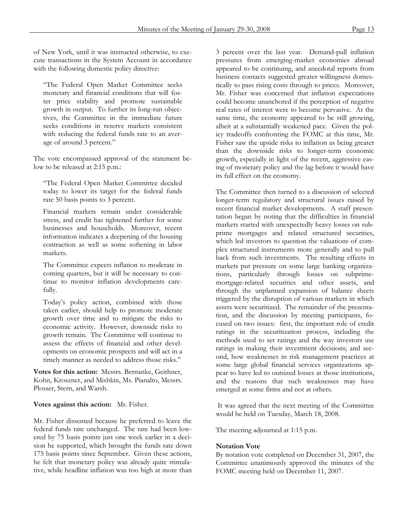of New York, until it was instructed otherwise, to execute transactions in the System Account in accordance with the following domestic policy directive:

"The Federal Open Market Committee seeks monetary and financial conditions that will foster price stability and promote sustainable growth in output. To further its long-run objectives, the Committee in the immediate future seeks conditions in reserve markets consistent with reducing the federal funds rate to an average of around 3 percent."

The vote encompassed approval of the statement below to be released at 2:15 p.m.:

"The Federal Open Market Committee decided today to lower its target for the federal funds rate 50 basis points to 3 percent.

Financial markets remain under considerable stress, and credit has tightened further for some businesses and households. Moreover, recent information indicates a deepening of the housing contraction as well as some softening in labor markets.

The Committee expects inflation to moderate in coming quarters, but it will be necessary to continue to monitor inflation developments carefully.

Today's policy action, combined with those taken earlier, should help to promote moderate growth over time and to mitigate the risks to economic activity. However, downside risks to growth remain. The Committee will continue to assess the effects of financial and other developments on economic prospects and will act in a timely manner as needed to address those risks."

**Votes for this action:** Messrs. Bernanke, Geithner, Kohn, Kroszner, and Mishkin, Ms. Pianalto, Messrs. Plosser, Stern, and Warsh.

**Votes against this action:** Mr. Fisher.

Mr. Fisher dissented because he preferred to leave the federal funds rate unchanged. The rate had been lowered by 75 basis points just one week earlier in a decision he supported, which brought the funds rate down 175 basis points since September. Given these actions, he felt that monetary policy was already quite stimulative, while headline inflation was too high at more than

3 percent over the last year. Demand-pull inflation pressures from emerging-market economies abroad appeared to be continuing, and anecdotal reports from business contacts suggested greater willingness domestically to pass rising costs through to prices. Moreover, Mr. Fisher was concerned that inflation expectations could become unanchored if the perception of negative real rates of interest were to become pervasive. At the same time, the economy appeared to be still growing, albeit at a substantially weakened pace. Given the policy tradeoffs confronting the FOMC at this time, Mr. Fisher saw the upside risks to inflation as being greater than the downside risks to longer-term economic growth, especially in light of the recent, aggressive easing of monetary policy and the lag before it would have its full effect on the economy.

The Committee then turned to a discussion of selected longer-term regulatory and structural issues raised by recent financial market developments. A staff presentation began by noting that the difficulties in financial markets started with unexpectedly heavy losses on subprime mortgages and related structured securities, which led investors to question the valuations of complex structured instruments more generally and to pull back from such investments. The resulting effects in markets put pressure on some large banking organizations, particularly through losses on subprimemortgage-related securities and other assets, and through the unplanned expansion of balance sheets triggered by the disruption of various markets in which assets were securitized. The remainder of the presentation, and the discussion by meeting participants, focused on two issues: first, the important role of credit ratings in the securitization process, including the methods used to set ratings and the way investors use ratings in making their investment decisions; and second, how weaknesses in risk management practices at some large global financial services organizations appear to have led to outsized losses at those institutions, and the reasons that such weaknesses may have emerged at some firms and not at others.

 It was agreed that the next meeting of the Committee would be held on Tuesday, March 18, 2008.

The meeting adjourned at 1:15 p.m.

### **Notation Vote**

By notation vote completed on December 31, 2007, the Committee unanimously approved the minutes of the FOMC meeting held on December 11, 2007.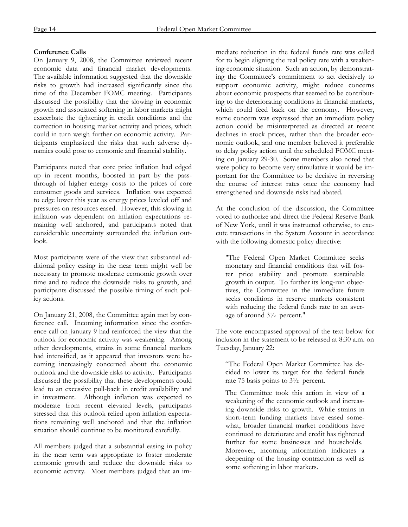### **Conference Calls**

On January 9, 2008, the Committee reviewed recent economic data and financial market developments. The available information suggested that the downside risks to growth had increased significantly since the time of the December FOMC meeting. Participants discussed the possibility that the slowing in economic growth and associated softening in labor markets might exacerbate the tightening in credit conditions and the correction in housing market activity and prices, which could in turn weigh further on economic activity. Participants emphasized the risks that such adverse dynamics could pose to economic and financial stability.

Participants noted that core price inflation had edged up in recent months, boosted in part by the passthrough of higher energy costs to the prices of core consumer goods and services. Inflation was expected to edge lower this year as energy prices leveled off and pressures on resources eased. However, this slowing in inflation was dependent on inflation expectations remaining well anchored, and participants noted that considerable uncertainty surrounded the inflation outlook.

Most participants were of the view that substantial additional policy easing in the near term might well be necessary to promote moderate economic growth over time and to reduce the downside risks to growth, and participants discussed the possible timing of such policy actions.

On January 21, 2008, the Committee again met by conference call. Incoming information since the conference call on January 9 had reinforced the view that the outlook for economic activity was weakening. Among other developments, strains in some financial markets had intensified, as it appeared that investors were becoming increasingly concerned about the economic outlook and the downside risks to activity. Participants discussed the possibility that these developments could lead to an excessive pull-back in credit availability and in investment. Although inflation was expected to moderate from recent elevated levels, participants stressed that this outlook relied upon inflation expectations remaining well anchored and that the inflation situation should continue to be monitored carefully.

All members judged that a substantial easing in policy in the near term was appropriate to foster moderate economic growth and reduce the downside risks to economic activity. Most members judged that an immediate reduction in the federal funds rate was called for to begin aligning the real policy rate with a weakening economic situation. Such an action, by demonstrating the Committee's commitment to act decisively to support economic activity, might reduce concerns about economic prospects that seemed to be contributing to the deteriorating conditions in financial markets, which could feed back on the economy. However, some concern was expressed that an immediate policy action could be misinterpreted as directed at recent declines in stock prices, rather than the broader economic outlook, and one member believed it preferable to delay policy action until the scheduled FOMC meeting on January 29-30. Some members also noted that were policy to become very stimulative it would be important for the Committee to be decisive in reversing the course of interest rates once the economy had strengthened and downside risks had abated.

At the conclusion of the discussion, the Committee voted to authorize and direct the Federal Reserve Bank of New York, until it was instructed otherwise, to execute transactions in the System Account in accordance with the following domestic policy directive:

"The Federal Open Market Committee seeks monetary and financial conditions that will foster price stability and promote sustainable growth in output. To further its long-run objectives, the Committee in the immediate future seeks conditions in reserve markets consistent with reducing the federal funds rate to an average of around 3½ percent."

The vote encompassed approval of the text below for inclusion in the statement to be released at 8:30 a.m. on Tuesday, January 22:

"The Federal Open Market Committee has decided to lower its target for the federal funds rate 75 basis points to 3½ percent.

The Committee took this action in view of a weakening of the economic outlook and increasing downside risks to growth. While strains in short-term funding markets have eased somewhat, broader financial market conditions have continued to deteriorate and credit has tightened further for some businesses and households. Moreover, incoming information indicates a deepening of the housing contraction as well as some softening in labor markets.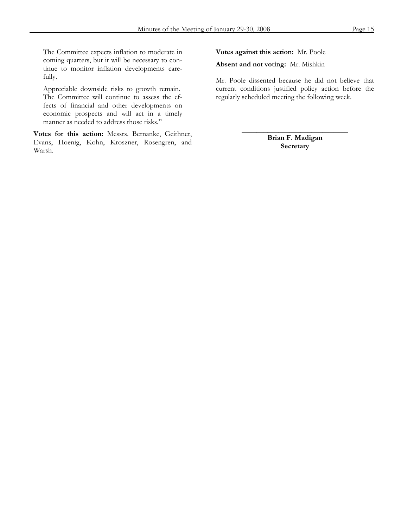The Committee expects inflation to moderate in coming quarters, but it will be necessary to continue to monitor inflation developments carefully.

Appreciable downside risks to growth remain. The Committee will continue to assess the effects of financial and other developments on economic prospects and will act in a timely manner as needed to address those risks."

**Votes for this action:** Messrs. Bernanke, Geithner, Evans, Hoenig, Kohn, Kroszner, Rosengren, and Warsh.

### **Votes against this action:** Mr. Poole

#### **Absent and not voting:** Mr. Mishkin

Mr. Poole dissented because he did not believe that current conditions justified policy action before the regularly scheduled meeting the following week.

> \_\_\_\_\_\_\_\_\_\_\_\_\_\_\_\_\_\_\_\_\_\_\_\_\_\_\_\_\_ **Brian F. Madigan Secretary**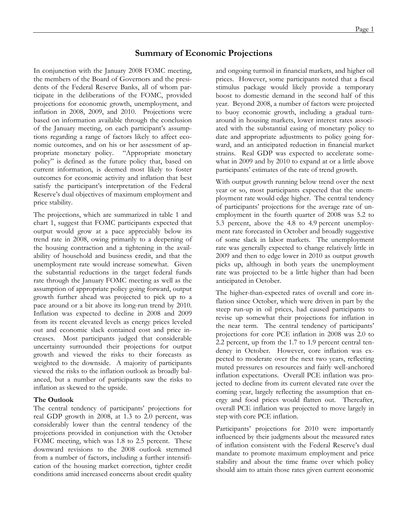### **Summary of Economic Projections**

In conjunction with the January 2008 FOMC meeting, the members of the Board of Governors and the presidents of the Federal Reserve Banks, all of whom participate in the deliberations of the FOMC, provided projections for economic growth, unemployment, and inflation in 2008, 2009, and 2010. Projections were based on information available through the conclusion of the January meeting, on each participant's assumptions regarding a range of factors likely to affect economic outcomes, and on his or her assessment of appropriate monetary policy. "Appropriate monetary policy" is defined as the future policy that, based on current information, is deemed most likely to foster outcomes for economic activity and inflation that best satisfy the participant's interpretation of the Federal Reserve's dual objectives of maximum employment and price stability.

The projections, which are summarized in table 1 and chart 1, suggest that FOMC participants expected that output would grow at a pace appreciably below its trend rate in 2008, owing primarily to a deepening of the housing contraction and a tightening in the availability of household and business credit, and that the unemployment rate would increase somewhat. Given the substantial reductions in the target federal funds rate through the January FOMC meeting as well as the assumption of appropriate policy going forward, output growth further ahead was projected to pick up to a pace around or a bit above its long-run trend by 2010. Inflation was expected to decline in 2008 and 2009 from its recent elevated levels as energy prices leveled out and economic slack contained cost and price increases. Most participants judged that considerable uncertainty surrounded their projections for output growth and viewed the risks to their forecasts as weighted to the downside. A majority of participants viewed the risks to the inflation outlook as broadly balanced, but a number of participants saw the risks to inflation as skewed to the upside.

### **The Outlook**

The central tendency of participants' projections for real GDP growth in 2008, at 1.3 to 2.0 percent, was considerably lower than the central tendency of the projections provided in conjunction with the October FOMC meeting, which was 1.8 to 2.5 percent. These downward revisions to the 2008 outlook stemmed from a number of factors, including a further intensification of the housing market correction, tighter credit conditions amid increased concerns about credit quality

and ongoing turmoil in financial markets, and higher oil prices. However, some participants noted that a fiscal stimulus package would likely provide a temporary boost to domestic demand in the second half of this year. Beyond 2008, a number of factors were projected to buoy economic growth, including a gradual turnaround in housing markets, lower interest rates associated with the substantial easing of monetary policy to date and appropriate adjustments to policy going forward, and an anticipated reduction in financial market strains. Real GDP was expected to accelerate somewhat in 2009 and by 2010 to expand at or a little above participants' estimates of the rate of trend growth.

With output growth running below trend over the next year or so, most participants expected that the unemployment rate would edge higher. The central tendency of participants' projections for the average rate of unemployment in the fourth quarter of 2008 was 5.2 to 5.3 percent, above the 4.8 to 4.9 percent unemployment rate forecasted in October and broadly suggestive of some slack in labor markets. The unemployment rate was generally expected to change relatively little in 2009 and then to edge lower in 2010 as output growth picks up, although in both years the unemployment rate was projected to be a little higher than had been anticipated in October.

The higher-than-expected rates of overall and core inflation since October, which were driven in part by the steep run-up in oil prices, had caused participants to revise up somewhat their projections for inflation in the near term. The central tendency of participants' projections for core PCE inflation in 2008 was 2.0 to 2.2 percent, up from the 1.7 to 1.9 percent central tendency in October. However, core inflation was expected to moderate over the next two years, reflecting muted pressures on resources and fairly well-anchored inflation expectations. Overall PCE inflation was projected to decline from its current elevated rate over the coming year, largely reflecting the assumption that energy and food prices would flatten out. Thereafter, overall PCE inflation was projected to move largely in step with core PCE inflation.

Participants' projections for 2010 were importantly influenced by their judgments about the measured rates of inflation consistent with the Federal Reserve's dual mandate to promote maximum employment and price stability and about the time frame over which policy should aim to attain those rates given current economic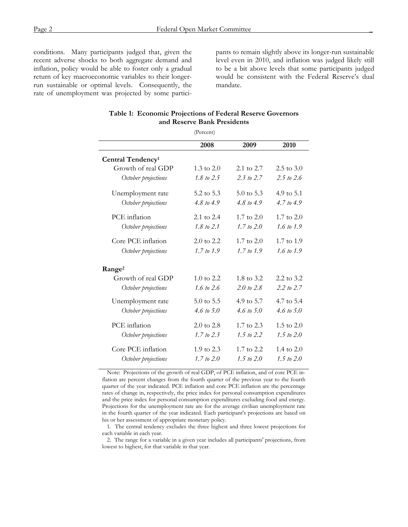conditions. Many participants judged that, given the recent adverse shocks to both aggregate demand and inflation, policy would be able to foster only a gradual return of key macroeconomic variables to their longerrun sustainable or optimal levels. Consequently, the rate of unemployment was projected by some partici-

pants to remain slightly above its longer-run sustainable level even in 2010, and inflation was judged likely still to be a bit above levels that some participants judged would be consistent with the Federal Reserve's dual mandate.

| Table 1: Economic Projections of Federal Reserve Governors |  |  |  |  |  |
|------------------------------------------------------------|--|--|--|--|--|
| and Reserve Bank Presidents                                |  |  |  |  |  |
| (Percent)                                                  |  |  |  |  |  |
|                                                            |  |  |  |  |  |

|                               | 2008                  | 2009                  | 2010                  |
|-------------------------------|-----------------------|-----------------------|-----------------------|
| Central Tendency <sup>1</sup> |                       |                       |                       |
| Growth of real GDP            | 1.3 to $2.0$          | 2.1 to 2.7            | $2.5 \text{ to } 3.0$ |
| October projections           | 1.8 to 2.5            | $2.3$ to $2.7$        | $2.5 \text{ to } 2.6$ |
| Unemployment rate             | 5.2 to 5.3            | 5.0 to 5.3            | 4.9 to 5.1            |
| October projections           | 4.8 to 4.9            | 4.8 to 4.9            | 4.7 to 4.9            |
| PCE inflation                 | 2.1 to 2.4            | $1.7 \text{ to } 2.0$ | $1.7 \text{ to } 2.0$ |
| October projections           | 1.8 to 2.1            | 1.7 to $2.0$          | 1.6 to 1.9            |
| Core PCE inflation            | $2.0 \text{ to } 2.2$ | 1.7 to $2.0$          | 1.7 to $1.9$          |
| October projections           | 1.7 to 1.9            | 1.7 to $1.9$          | 1.6 to 1.9            |
| Range <sup>2</sup>            |                       |                       |                       |
| Growth of real GDP            | $1.0 \text{ to } 2.2$ | 1.8 to 3.2            | 2.2 to 3.2            |
| October projections           | 1.6 to 2.6            | 2.0 to $2.8$          | 2.2 to $2.7$          |
| Unemployment rate             | 5.0 to 5.5            | 4.9 to 5.7            | 4.7 to 5.4            |
| October projections           | 4.6 to 5.0            | 4.6 to 5.0            | 4.6 to 5.0            |
| PCE inflation                 | $2.0 \text{ to } 2.8$ | $1.7 \text{ to } 2.3$ | $1.5 \text{ to } 2.0$ |
| October projections           | 1.7 to $2.3$          | 1.5 to 2.2            | 1.5 to 2.0            |
| Core PCE inflation            | 1.9 to 2.3            | 1.7 to 2.2            | 1.4 to $2.0$          |
| October projections           | 1.7 to 2.0            | 1.5 to 2.0            | 1.5 to 2.0            |

Note: Projections of the growth of real GDP, of PCE inflation, and of core PCE inflation are percent changes from the fourth quarter of the previous year to the fourth quarter of the year indicated. PCE inflation and core PCE inflation are the percentage rates of change in, respectively, the price index for personal consumption expenditures and the price index for personal consumption expenditures excluding food and energy. Projections for the unemployment rate are for the average civilian unemployment rate in the fourth quarter of the year indicated. Each participant's projections are based on his or her assessment of appropriate monetary policy.

1. The central tendency excludes the three highest and three lowest projections for each variable in each year.

2. The range for a variable in a given year includes all participants' projections, from lowest to highest, for that variable in that year.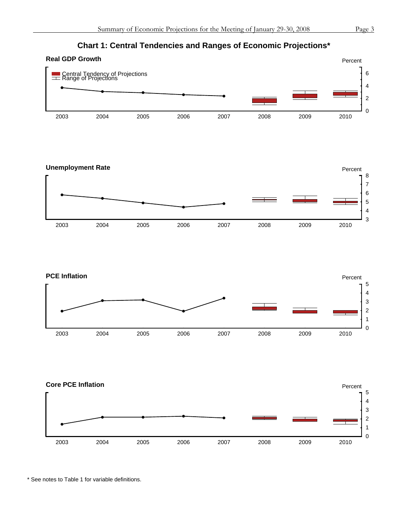# **Chart 1: Central Tendencies and Ranges of Economic Projections\***









\* See notes to Table 1 for variable definitions.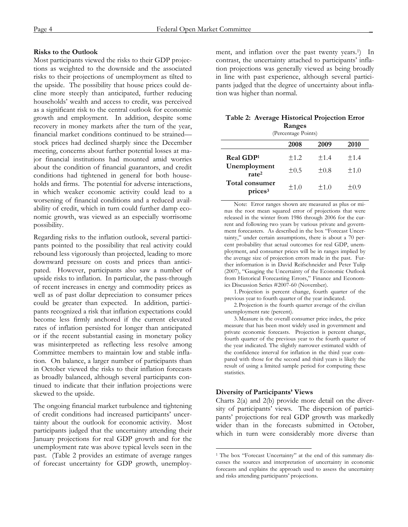#### **Risks to the Outlook**

Most participants viewed the risks to their GDP projections as weighted to the downside and the associated risks to their projections of unemployment as tilted to the upside. The possibility that house prices could decline more steeply than anticipated, further reducing households' wealth and access to credit, was perceived as a significant risk to the central outlook for economic growth and employment. In addition, despite some recovery in money markets after the turn of the year, financial market conditions continued to be strained stock prices had declined sharply since the December meeting, concerns about further potential losses at major financial institutions had mounted amid worries about the condition of financial guarantors, and credit conditions had tightened in general for both households and firms. The potential for adverse interactions, in which weaker economic activity could lead to a worsening of financial conditions and a reduced availability of credit, which in turn could further damp economic growth, was viewed as an especially worrisome possibility.

Regarding risks to the inflation outlook, several participants pointed to the possibility that real activity could rebound less vigorously than projected, leading to more downward pressure on costs and prices than anticipated. However, participants also saw a number of upside risks to inflation. In particular, the pass-through of recent increases in energy and commodity prices as well as of past dollar depreciation to consumer prices could be greater than expected. In addition, participants recognized a risk that inflation expectations could become less firmly anchored if the current elevated rates of inflation persisted for longer than anticipated or if the recent substantial easing in monetary policy was misinterpreted as reflecting less resolve among Committee members to maintain low and stable inflation. On balance, a larger number of participants than in October viewed the risks to their inflation forecasts as broadly balanced, although several participants continued to indicate that their inflation projections were skewed to the upside.

The ongoing financial market turbulence and tightening of credit conditions had increased participants' uncertainty about the outlook for economic activity. Most participants judged that the uncertainty attending their January projections for real GDP growth and for the unemployment rate was above typical levels seen in the past. (Table 2 provides an estimate of average ranges of forecast uncertainty for GDP growth, unemployment, and inflation over the past twenty years.<sup>1</sup>) In contrast, the uncertainty attached to participants' inflation projections was generally viewed as being broadly in line with past experience, although several participants judged that the degree of uncertainty about inflation was higher than normal.

#### **Table 2: Average Historical Projection Error Ranges**

| (Percentage Points) |  |
|---------------------|--|

|                                       | 2008   | 2009      | 2010 |
|---------------------------------------|--------|-----------|------|
| Real GDP1                             | $+1.2$ | ±1.4      | ±1.4 |
| Unemployment<br>rate <sup>2</sup>     | $+0.5$ | $\pm 0.8$ | ±1.0 |
| Total consumer<br>prices <sup>3</sup> | ±1.0   | ±1.0      | ±0.9 |

Note: Error ranges shown are measured as plus or minus the root mean squared error of projections that were released in the winter from 1986 through 2006 for the current and following two years by various private and government forecasters. As described in the box "Forecast Uncertainty," under certain assumptions, there is about a 70 percent probability that actual outcomes for real GDP, unemployment, and consumer prices will be in ranges implied by the average size of projection errors made in the past. Further information is in David Reifschneider and Peter Tulip (2007), "Gauging the Uncertainty of the Economic Outlook from Historical Forecasting Errors," Finance and Economics Discussion Series #2007-60 (November).

1.Projection is percent change, fourth quarter of the previous year to fourth quarter of the year indicated.

2.Projection is the fourth quarter average of the civilian unemployment rate (percent).

3.Measure is the overall consumer price index, the price measure that has been most widely used in government and private economic forecasts. Projection is percent change, fourth quarter of the previous year to the fourth quarter of the year indicated. The slightly narrower estimated width of the confidence interval for inflation in the third year compared with those for the second and third years is likely the result of using a limited sample period for computing these statistics.

#### **Diversity of Participants' Views**

 $\overline{a}$ 

Charts 2(a) and 2(b) provide more detail on the diversity of participants' views. The dispersion of participants' projections for real GDP growth was markedly wider than in the forecasts submitted in October, which in turn were considerably more diverse than

<sup>1</sup> The box "Forecast Uncertainty" at the end of this summary discusses the sources and interpretation of uncertainty in economic forecasts and explains the approach used to assess the uncertainty and risks attending participants' projections.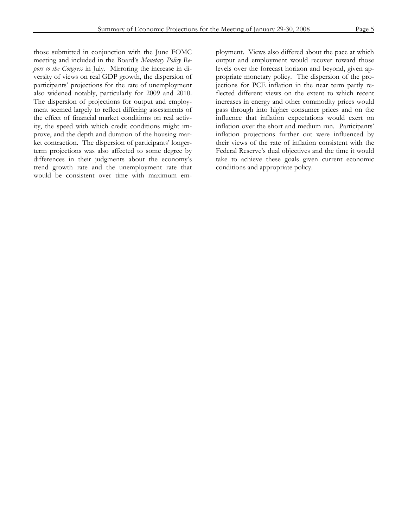those submitted in conjunction with the June FOMC meeting and included in the Board's *Monetary Policy Report to the Congress* in July. Mirroring the increase in diversity of views on real GDP growth, the dispersion of participants' projections for the rate of unemployment also widened notably, particularly for 2009 and 2010. The dispersion of projections for output and employment seemed largely to reflect differing assessments of the effect of financial market conditions on real activity, the speed with which credit conditions might improve, and the depth and duration of the housing market contraction. The dispersion of participants' longerterm projections was also affected to some degree by differences in their judgments about the economy's trend growth rate and the unemployment rate that would be consistent over time with maximum em-

ployment. Views also differed about the pace at which output and employment would recover toward those levels over the forecast horizon and beyond, given appropriate monetary policy. The dispersion of the projections for PCE inflation in the near term partly reflected different views on the extent to which recent increases in energy and other commodity prices would pass through into higher consumer prices and on the influence that inflation expectations would exert on inflation over the short and medium run. Participants' inflation projections further out were influenced by their views of the rate of inflation consistent with the Federal Reserve's dual objectives and the time it would take to achieve these goals given current economic conditions and appropriate policy.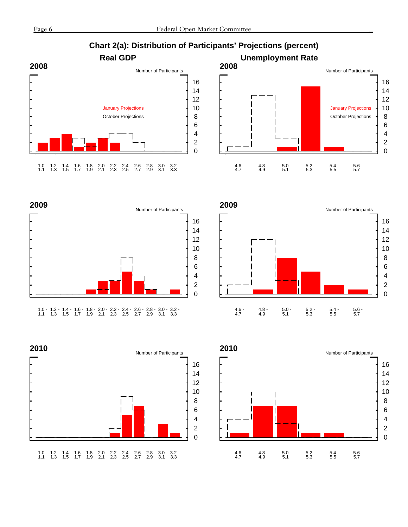



<sup>1.0 - 1.2 - 1.4 - 1.6 - 1.8 - 2.0 - 2.2 - 2.4 - 2.6 - 2.8 - 3.0 - 3.2 -</sup> 1.1 1.3 1.5 1.7 1.9 2.1 2.3 2.5 2.7 2.9 3.1 3.3



1.0 - 1.2 - 1.4 - 1.6 - 1.8 - 2.0 - 2.2 - 2.4 - 2.6 - 2.8 - 3.0 - 3.2 - 1.1 1.3 1.5 1.7 1.9 2.1 2.3 2.5 2.7 2.9 3.1 3.3



1.0 - 1.2 - 1.4 - 1.6 - 1.8 - 2.0 - 2.2 - 2.4 - 2.6 - 2.8 - 3.0 - 3.2 - 1.1 1.3 1.5 1.7 1.9 2.1 2.3 2.5 2.7 2.9 3.1 3.3





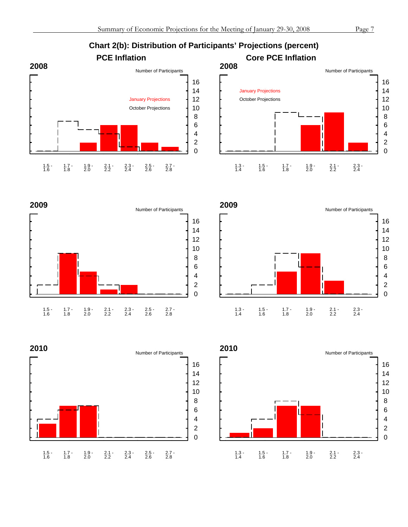

# **Chart 2(b): Distribution of Participants' Projections (percent)**